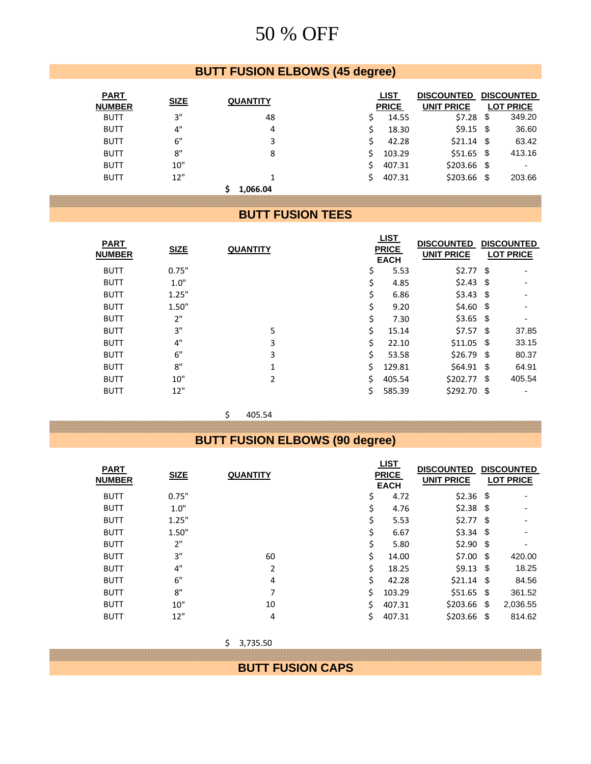## **BUTT FUSION ELBOWS (45 degree)**

| <b>PART</b>   |             |                 |    | <b>LIST</b>  | <b>DISCOUNTED</b> |     | <b>DISCOUNTED</b> |
|---------------|-------------|-----------------|----|--------------|-------------------|-----|-------------------|
| <b>NUMBER</b> | <b>SIZE</b> | <b>QUANTITY</b> |    | <b>PRICE</b> | <b>UNIT PRICE</b> |     | <b>LOT PRICE</b>  |
| <b>BUTT</b>   | 3"          | 48              | S  | 14.55        | \$7.28            | \$  | 349.20            |
| <b>BUTT</b>   | 4"          | 4               | Ś  | 18.30        | $$9.15$ \$        |     | 36.60             |
| <b>BUTT</b>   | 6"          | 3               | Ś  | 42.28        | $$21.14$ \$       |     | 63.42             |
| <b>BUTT</b>   | 8"          | 8               | S. | 103.29       | $$51.65$ \$       |     | 413.16            |
| <b>BUTT</b>   | 10"         |                 | Š. | 407.31       | $$203.66$ \$      |     | ٠                 |
| <b>BUTT</b>   | 12"         |                 | S. | 407.31       | \$203.66          | -\$ | 203.66            |
|               |             | 1.066.04        |    |              |                   |     |                   |

#### **BUTT FUSION TEES**

| <b>SIZE</b> | <b>QUANTITY</b> |    | <b>LIST</b> | <b>DISCOUNTED</b><br><b>UNIT PRICE</b> | <b>DISCOUNTED</b><br><b>LOT PRICE</b>                                                                                                                   |
|-------------|-----------------|----|-------------|----------------------------------------|---------------------------------------------------------------------------------------------------------------------------------------------------------|
| 0.75"       |                 | \$ | 5.53        |                                        | ٠                                                                                                                                                       |
| 1.0"        |                 | \$ | 4.85        |                                        |                                                                                                                                                         |
| 1.25"       |                 |    | 6.86        |                                        |                                                                                                                                                         |
| 1.50"       |                 | \$ | 9.20        |                                        |                                                                                                                                                         |
| 2"          |                 | \$ | 7.30        |                                        | $\blacksquare$                                                                                                                                          |
| 3"          | 5               | Ś. | 15.14       |                                        | 37.85                                                                                                                                                   |
| 4"          | 3               | Ś  | 22.10       |                                        | 33.15                                                                                                                                                   |
| 6"          | 3               | Ś  | 53.58       |                                        | 80.37                                                                                                                                                   |
| 8"          | $\mathbf{1}$    | Ś. | 129.81      |                                        | 64.91                                                                                                                                                   |
| 10"         | $\mathcal{P}$   | Ś. | 405.54      |                                        | 405.54                                                                                                                                                  |
| 12"         |                 | Ś. | 585.39      |                                        |                                                                                                                                                         |
|             |                 |    |             | <b>PRICE</b><br><b>EACH</b>            | $$2.77$ \,<br>$$2.43$ \,<br>$$3.43$ \$<br>$$4.60$ \$<br>$$3.65$ \$<br>\$7.57S<br>$$11.05$ \$<br>$$26.79$ \$<br>$$64.91$ \,<br>\$202.77S<br>$$292.70$ \$ |

 $$ 405.54$ 

## **BUTT FUSION ELBOWS (90 degree)**

| <b>PART</b><br><b>NUMBER</b> | <b>SIZE</b> | <b>QUANTITY</b> | <u>LIST</u><br><b>PRICE</b><br><b>EACH</b> |        | <b>DISCOUNTED</b><br><b>UNIT PRICE</b> | <b>DISCOUNTED</b><br><b>LOT PRICE</b> |                |
|------------------------------|-------------|-----------------|--------------------------------------------|--------|----------------------------------------|---------------------------------------|----------------|
| <b>BUTT</b>                  | 0.75"       |                 | \$                                         | 4.72   | $$2.36$ \, \$                          |                                       | ٠              |
| <b>BUTT</b>                  | 1.0"        |                 | \$                                         | 4.76   |                                        |                                       |                |
| <b>BUTT</b>                  | 1.25"       |                 | \$                                         | 5.53   |                                        |                                       |                |
| <b>BUTT</b>                  | 1.50"       |                 |                                            | 6.67   | $$3.34$ \$                             |                                       | $\blacksquare$ |
| <b>BUTT</b>                  | 2"          |                 | Ś                                          | 5.80   | $$2.90$ \, \$                          |                                       | ٠              |
| <b>BUTT</b>                  | 3"          | 60              | Ś                                          | 14.00  | $$7.00$ \$                             |                                       | 420.00         |
| <b>BUTT</b>                  | 4"          | 2               | Ś                                          | 18.25  | $$9.13$ \$                             |                                       | 18.25          |
| <b>BUTT</b>                  | 6"          | 4               | Ś                                          | 42.28  | $$21.14$ \\$                           |                                       | 84.56          |
| <b>BUTT</b>                  | 8"          | 7               | Ś                                          | 103.29 | $$51.65$ \$                            |                                       | 361.52         |
| <b>BUTT</b>                  | 10"         | 10              | Ŝ.                                         | 407.31 | $$203.66$ \$                           |                                       | 2,036.55       |
| <b>BUTT</b>                  | 12"         | 4               | \$                                         | 407.31 | $$203.66$ \$                           |                                       | 814.62         |

| \$3,735.50              |
|-------------------------|
| <b>BUTT FUSION CAPS</b> |
|                         |
|                         |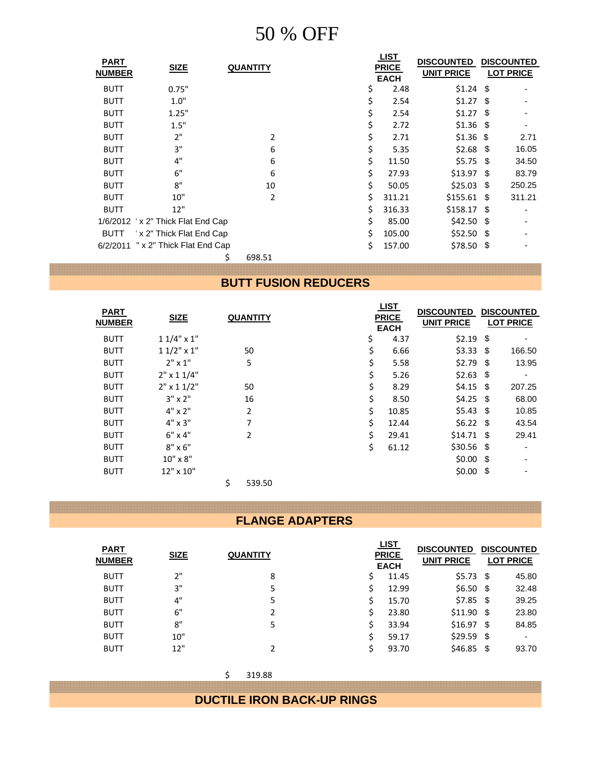| <b>PART</b><br><b>NUMBER</b> | <b>SIZE</b>                        | <b>QUANTITY</b> | <u>LIST</u><br><b>PRICE</b> | <b>DISCOUNTED</b><br><b>UNIT PRICE</b> |      | <b>DISCOUNTED</b><br><b>LOT PRICE</b> |
|------------------------------|------------------------------------|-----------------|-----------------------------|----------------------------------------|------|---------------------------------------|
| <b>BUTT</b>                  | 0.75"                              |                 | <b>EACH</b><br>2.48         | $$1.24$ \$                             |      |                                       |
|                              |                                    |                 | \$                          |                                        |      | -                                     |
| <b>BUTT</b>                  | 1.0"                               |                 | \$<br>2.54                  | $$1.27$ \$                             |      |                                       |
| <b>BUTT</b>                  | 1.25"                              |                 | \$<br>2.54                  | $$1.27$ \$                             |      |                                       |
| <b>BUTT</b>                  | 1.5"                               |                 | \$<br>2.72                  | $$1.36$ \, \$                          |      |                                       |
| <b>BUTT</b>                  | 2"                                 | 2               | \$<br>2.71                  | $$1.36$ \$                             |      | 2.71                                  |
| <b>BUTT</b>                  | 3"                                 | 6               | \$<br>5.35                  | $$2.68$ \, \$                          |      | 16.05                                 |
| <b>BUTT</b>                  | 4"                                 | 6               | \$<br>11.50                 | $$5.75$ \$                             |      | 34.50                                 |
| <b>BUTT</b>                  | 6"                                 | 6               | \$<br>27.93                 | $$13.97$ \$                            |      | 83.79                                 |
| <b>BUTT</b>                  | 8"                                 | 10              | \$<br>50.05                 | \$25.03                                | - \$ | 250.25                                |
| <b>BUTT</b>                  | 10"                                | 2               | \$<br>311.21                | $$155.61$ \$                           |      | 311.21                                |
| <b>BUTT</b>                  | 12"                                |                 | \$<br>316.33                | $$158.17$ \$                           |      |                                       |
|                              | 1/6/2012 'x 2" Thick Flat End Cap  |                 | \$<br>85.00                 | $$42.50$ \$                            |      |                                       |
| <b>BUTT</b>                  | x 2" Thick Flat End Cap            |                 | \$<br>105.00                | $$52.50$ \$                            |      |                                       |
|                              | 6/2/2011 " x 2" Thick Flat End Cap |                 | \$<br>157.00                | \$78.50\$                              |      |                                       |
|                              | \$                                 | 698.51          |                             |                                        |      |                                       |

#### **BUTT FUSION REDUCERS**

| <b>PART</b><br><b>NUMBER</b> | <b>SIZE</b>       | <b>QUANTITY</b> | <u>LIST</u><br><b>PRICE</b><br><b>EACH</b> |       | <b>DISCOUNTED</b><br><b>UNIT PRICE</b> | <b>DISCOUNTED</b><br><b>LOT PRICE</b> |
|------------------------------|-------------------|-----------------|--------------------------------------------|-------|----------------------------------------|---------------------------------------|
| <b>BUTT</b>                  | $11/4$ " x 1"     |                 | \$                                         | 4.37  | $$2.19$ \$                             | $\qquad \qquad \blacksquare$          |
| <b>BUTT</b>                  | $11/2$ " x 1"     | 50              | \$                                         | 6.66  | $$3.33$ \$                             | 166.50                                |
| <b>BUTT</b>                  | $2" \times 1"$    | 5               | \$                                         | 5.58  | $$2.79$ \, \$                          | 13.95                                 |
| <b>BUTT</b>                  | $2" \times 11/4"$ |                 | \$                                         | 5.26  | $$2.63$ \$                             | $\overline{\phantom{a}}$              |
| <b>BUTT</b>                  | $2"$ x 1 1/2"     | 50              | \$                                         | 8.29  | $$4.15$ \$                             | 207.25                                |
| <b>BUTT</b>                  | $3'' \times 2''$  | 16              | \$                                         | 8.50  | $$4.25$ \$                             | 68.00                                 |
| <b>BUTT</b>                  | $4" \times 2"$    | $\overline{2}$  | \$                                         | 10.85 | \$5.43\$                               | 10.85                                 |
| <b>BUTT</b>                  | $4" \times 3"$    | 7               | \$                                         | 12.44 | $$6.22$ \$                             | 43.54                                 |
| <b>BUTT</b>                  | $6" \times 4"$    | $\overline{2}$  | \$                                         | 29.41 | $$14.71$ \$                            | 29.41                                 |
| <b>BUTT</b>                  | $8" \times 6"$    |                 | \$                                         | 61.12 | $$30.56$ \$                            | $\overline{\phantom{a}}$              |
| <b>BUTT</b>                  | $10'' \times 8''$ |                 |                                            |       | $$0.00$ \$                             | $\overline{\phantom{a}}$              |
| <b>BUTT</b>                  | 12" x 10"         |                 |                                            |       | $$0.00$ \$                             |                                       |
|                              |                   | \$<br>539.50    |                                            |       |                                        |                                       |

#### **FLANGE ADAPTERS**

| <b>PART</b><br><b>NUMBER</b> | <b>SIZE</b> | <b>QUANTITY</b> |   | <u>LIST</u><br><b>PRICE</b><br><b>EACH</b> | <b>DISCOUNTED</b><br><b>UNIT PRICE</b> | <b>DISCOUNTED</b><br><b>LOT PRICE</b> |
|------------------------------|-------------|-----------------|---|--------------------------------------------|----------------------------------------|---------------------------------------|
| <b>BUTT</b>                  | 2"          | 8               | S | 11.45                                      | $$5.73$ \$                             | 45.80                                 |
| <b>BUTT</b>                  | 3"          | 5               |   | 12.99                                      | $$6.50$ \$                             | 32.48                                 |
| <b>BUTT</b>                  | 4"          | 5               |   | 15.70                                      | $$7.85$ \$                             | 39.25                                 |
| <b>BUTT</b>                  | 6"          | 2               |   | 23.80                                      | $$11.90$ \$                            | 23.80                                 |
| <b>BUTT</b>                  | 8"          | 5               |   | 33.94                                      | $$16.97$ \$                            | 84.85                                 |
| <b>BUTT</b>                  | 10"         |                 |   | 59.17                                      | $$29.59$ \$                            | $\overline{\phantom{a}}$              |
| <b>BUTT</b>                  | 12"         |                 |   | 93.70                                      | $$46.85$ \$                            | 93.70                                 |

 $$319.88$ 

**DUCTILE IRON BACK-UP RINGS**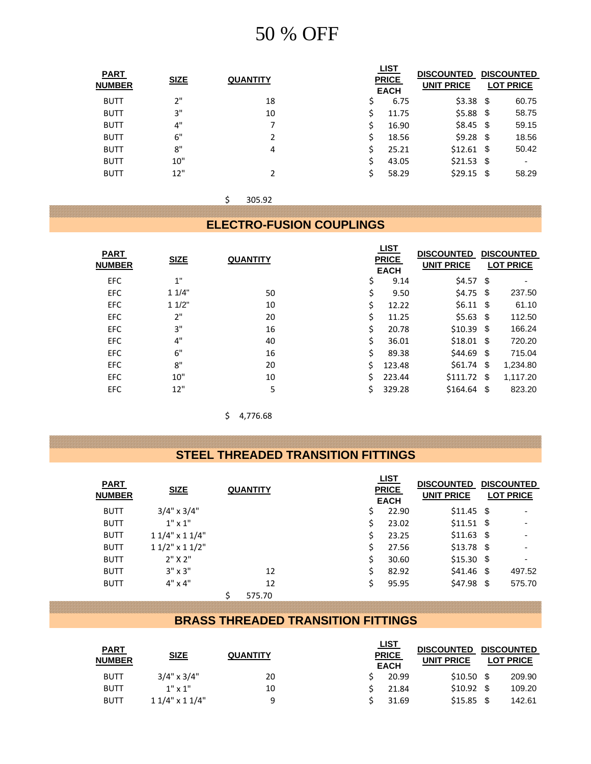| <b>SIZE</b> | <b>QUANTITY</b> |   |       | <b>DISCOUNTED</b><br><b>UNIT PRICE</b>     | <b>DISCOUNTED</b><br><b>LOT PRICE</b>                                                              |
|-------------|-----------------|---|-------|--------------------------------------------|----------------------------------------------------------------------------------------------------|
| 2"          | 18              | S | 6.75  |                                            | 60.75                                                                                              |
| 3"          | 10              | Ś | 11.75 |                                            | 58.75                                                                                              |
| 4"          | 7               | S | 16.90 |                                            | 59.15                                                                                              |
| 6"          | 2               |   | 18.56 |                                            | 18.56                                                                                              |
| 8"          | 4               |   | 25.21 |                                            | 50.42                                                                                              |
| 10"         |                 |   | 43.05 |                                            | ٠                                                                                                  |
| 12"         |                 |   | 58.29 |                                            | 58.29                                                                                              |
|             |                 |   |       | <u>LIST</u><br><b>PRICE</b><br><b>EACH</b> | $$3.38$ \$<br>$$5.88$$ \$<br>$$8.45$ \$<br>$$9.28$ \$<br>$$12.61$ \$<br>$$21.53$ \$<br>$$29.15$ \$ |

 $$ 305.92$ 

**ELECTRO-FUSION COUPLINGS**

| <b>PART</b><br><b>NUMBER</b> | <b>SIZE</b> | <b>QUANTITY</b> |    | <u>LIST</u><br><b>PRICE</b><br><b>EACH</b> | <b>DISCOUNTED</b><br><b>UNIT PRICE</b> | <b>DISCOUNTED</b><br><b>LOT PRICE</b> |
|------------------------------|-------------|-----------------|----|--------------------------------------------|----------------------------------------|---------------------------------------|
| <b>EFC</b>                   | 1"          |                 | S  | 9.14                                       | $$4.57$ \$                             | $\blacksquare$                        |
| <b>EFC</b>                   | 11/4"       | 50              | \$ | 9.50                                       | $$4.75$ \$                             | 237.50                                |
| <b>EFC</b>                   | 11/2"       | 10              | \$ | 12.22                                      | $$6.11$ \\$                            | 61.10                                 |
| <b>EFC</b>                   | 2"          | 20              | Ś  | 11.25                                      | \$5.63\$                               | 112.50                                |
| <b>EFC</b>                   | 3"          | 16              | Ś. | 20.78                                      | $$10.39$ \$                            | 166.24                                |
| <b>EFC</b>                   | 4"          | 40              | Ś. | 36.01                                      | $$18.01$ \$                            | 720.20                                |
| <b>EFC</b>                   | 6"          | 16              | Ś  | 89.38                                      | $$44.69$ \$                            | 715.04                                |
| <b>EFC</b>                   | 8"          | 20              | S. | 123.48                                     | $$61.74$ \$                            | 1,234.80                              |
| <b>EFC</b>                   | 10"         | 10              |    | 223.44                                     | $$111.72$ \$                           | 1,117.20                              |
| <b>EFC</b>                   | 12"         | 5               | Ś. | 329.28                                     | $$164.64$ \$                           | 823.20                                |

 $$ 4,776.68$ 

#### **STEEL THREADED TRANSITION FITTINGS**

| <b>PART</b><br><b>NUMBER</b> | <b>SIZE</b>         | <b>QUANTITY</b> |    | <u>LIST</u><br><b>PRICE</b><br><b>EACH</b> | <b>DISCOUNTED</b><br><b>UNIT PRICE</b> | <b>DISCOUNTED</b><br><b>LOT PRICE</b> |
|------------------------------|---------------------|-----------------|----|--------------------------------------------|----------------------------------------|---------------------------------------|
| <b>BUTT</b>                  | $3/4$ " x $3/4$ "   |                 | Ś. | 22.90                                      | $$11.45$ \$                            | ٠                                     |
| <b>BUTT</b>                  | $1"$ x $1"$         |                 | S. | 23.02                                      | $$11.51$ \$                            |                                       |
| <b>BUTT</b>                  | $11/4$ " x $11/4$ " |                 |    | 23.25                                      | $$11.63$ \$                            |                                       |
| <b>BUTT</b>                  | $11/2$ " x $11/2$ " |                 | Ś. | 27.56                                      | $$13.78$ \$                            |                                       |
| <b>BUTT</b>                  | $2"$ X $2"$         |                 | Ś  | 30.60                                      | $$15.30$ \$                            | ٠                                     |
| <b>BUTT</b>                  | $3'' \times 3''$    | 12              | Ś. | 82.92                                      | $$41.46$ \$                            | 497.52                                |
| <b>BUTT</b>                  | $4" \times 4"$      | 12              | Ś  | 95.95                                      | $$47.98$ \$                            | 575.70                                |
|                              |                     | 575.70          |    |                                            |                                        |                                       |

#### **BRASS THREADED TRANSITION FITTINGS**

| <b>PART</b>   |                     |                 | <u>LIST</u>                 |                   | <b>DISCOUNTED</b> |                  |  |
|---------------|---------------------|-----------------|-----------------------------|-------------------|-------------------|------------------|--|
| <b>NUMBER</b> | <b>SIZE</b>         | <b>QUANTITY</b> | <b>PRICE</b><br><b>EACH</b> | <b>UNIT PRICE</b> |                   | <b>LOT PRICE</b> |  |
| <b>BUTT</b>   | $3/4$ " x $3/4$ "   | 20              | 20.99                       | $$10.50$ \$       |                   | 209.90           |  |
| <b>BUTT</b>   | $1" \times 1"$      | 10              | 21.84                       | $$10.92$ \$       |                   | 109.20           |  |
| <b>BUTT</b>   | $11/4$ " x $11/4$ " | q               | 31.69                       | \$15.85           |                   | 142.61           |  |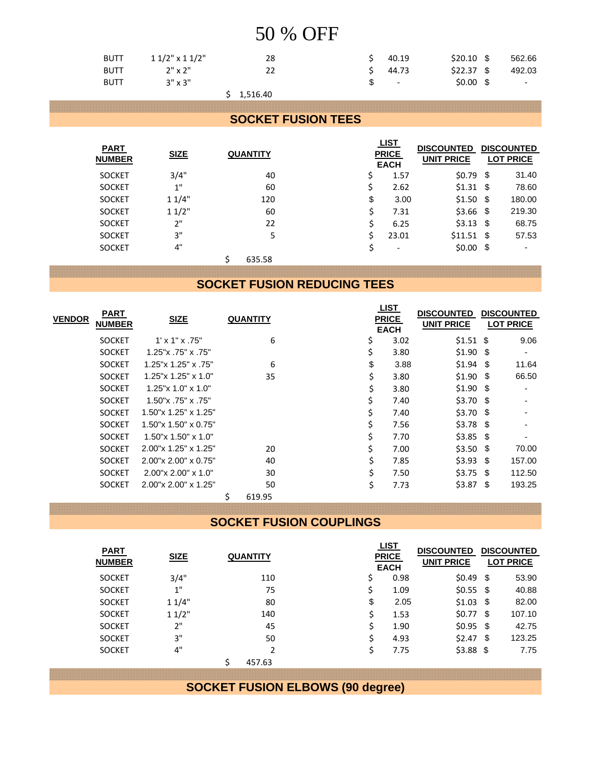| <b>BUTT</b> | $11/2$ " x $11/2$ " | 28 |    | $\sin 40.19$             | $$20.10$ \$ | 562.66                  |
|-------------|---------------------|----|----|--------------------------|-------------|-------------------------|
| <b>BUTT</b> | $2" \times 2"$      | 22 |    | $5\quad 44.73$           | \$22.37 \$  | 492.03                  |
| <b>BUTT</b> | $3'' \times 3''$    |    | S. | <b>Contract Contract</b> | $$0.00$ \$  | $\sim 100$ km s $^{-1}$ |

#### $$ 1,516.40$

#### **SOCKET FUSION TEES**

| <b>PART</b><br><b>NUMBER</b> | <b>SIZE</b> | <b>QUANTITY</b> |    | <u>LIST</u><br><b>PRICE</b><br><b>EACH</b> | <b>DISCOUNTED</b><br><b>UNIT PRICE</b> | <b>DISCOUNTED</b><br><b>LOT PRICE</b> |
|------------------------------|-------------|-----------------|----|--------------------------------------------|----------------------------------------|---------------------------------------|
| <b>SOCKET</b>                | 3/4"        | 40              | \$ | 1.57                                       | $$0.79$ \$                             | 31.40                                 |
| <b>SOCKET</b>                | 1"          | 60              | Ś  | 2.62                                       |                                        | 78.60                                 |
| <b>SOCKET</b>                | 11/4"       | 120             | \$ | 3.00                                       | $$1.50$ \$                             | 180.00                                |
| <b>SOCKET</b>                | 11/2"       | 60              | Ś  | 7.31                                       | $$3.66$ \$                             | 219.30                                |
| <b>SOCKET</b>                | 2"          | 22              | Ś  | 6.25                                       | $$3.13$ \$                             | 68.75                                 |
| <b>SOCKET</b>                | 3"          | 5               |    | 23.01                                      | $$11.51$ \$                            | 57.53                                 |
| <b>SOCKET</b>                | 4"          |                 | \$ |                                            | $$0.00$ \$                             | ٠                                     |
|                              |             | 635.58          |    |                                            |                                        |                                       |

#### **SOCKET FUSION REDUCING TEES**

| <b>PART</b>   |               |                               |                 |    | <u>LIST</u>                 | <b>DISCOUNTED</b> | <b>DISCOUNTED</b> |                          |
|---------------|---------------|-------------------------------|-----------------|----|-----------------------------|-------------------|-------------------|--------------------------|
| <b>VENDOR</b> | <b>NUMBER</b> | <b>SIZE</b>                   | <b>QUANTITY</b> |    | <b>PRICE</b><br><b>EACH</b> | <b>UNIT PRICE</b> | <b>LOT PRICE</b>  |                          |
|               | <b>SOCKET</b> | $1' \times 1'' \times .75''$  | 6               | \$ | 3.02                        | $$1.51$ \$        |                   | 9.06                     |
|               | <b>SOCKET</b> | 1.25"x .75"x .75"             |                 | \$ | 3.80                        | $$1.90$ \$        |                   | $\overline{\phantom{a}}$ |
|               | <b>SOCKET</b> | 1.25"x 1.25" x .75"           | 6               | \$ | 3.88                        | $$1.94$ \$        |                   | 11.64                    |
|               | <b>SOCKET</b> | $1.25$ "x $1.25$ " x $1.0$ "  | 35              | \$ | 3.80                        | $$1.90$ \$        |                   | 66.50                    |
|               | <b>SOCKET</b> | $1.25$ "x $1.0$ " x $1.0$ "   |                 | \$ | 3.80                        | $$1.90$ \, \$     |                   |                          |
|               | <b>SOCKET</b> | 1.50"x.75"x.75"               |                 | \$ | 7.40                        | $$3.70$ \$        |                   |                          |
|               | <b>SOCKET</b> | 1.50"x 1.25" x 1.25"          |                 |    | 7.40                        | $$3.70$ \$        |                   |                          |
|               | <b>SOCKET</b> | $1.50$ "x $1.50$ " x $0.75$ " |                 |    | 7.56                        | $$3.78$ \$        |                   |                          |
|               | <b>SOCKET</b> | $1.50$ "x $1.50$ " x $1.0$ "  |                 | \$ | 7.70                        | $$3.85$ \$        |                   | ٠                        |
|               | <b>SOCKET</b> | 2.00"x 1.25" x 1.25"          | 20              | \$ | 7.00                        | $$3.50$ \$        |                   | 70.00                    |
|               | <b>SOCKET</b> | 2.00"x 2.00" x 0.75"          | 40              | \$ | 7.85                        | $$3.93$ \$        |                   | 157.00                   |
|               | <b>SOCKET</b> | $2.00$ "x $2.00$ " x $1.0$ "  | 30              | \$ | 7.50                        | $$3.75$ \$        |                   | 112.50                   |
|               | <b>SOCKET</b> | 2.00"x 2.00" x 1.25"          | 50              | Ś. | 7.73                        | $$3.87$ \, \$     |                   | 193.25                   |
|               |               |                               | \$<br>619.95    |    |                             |                   |                   |                          |

**SOCKET FUSION COUPLINGS**

| <b>PART</b><br><b>NUMBER</b> | <b>SIZE</b> | <b>QUANTITY</b> |    | <u>LIST</u><br><b>PRICE</b><br><b>EACH</b> | <b>DISCOUNTED</b><br><b>UNIT PRICE</b> | <b>DISCOUNTED</b><br><b>LOT PRICE</b> |
|------------------------------|-------------|-----------------|----|--------------------------------------------|----------------------------------------|---------------------------------------|
| <b>SOCKET</b>                | 3/4"        | 110             | \$ | 0.98                                       | $$0.49$ \$                             | 53.90                                 |
| <b>SOCKET</b>                | 1"          | 75              |    | 1.09                                       | $$0.55$ \$                             | 40.88                                 |
| <b>SOCKET</b>                | 11/4"       | 80              | \$ | 2.05                                       | $$1.03$ \$                             | 82.00                                 |
| <b>SOCKET</b>                | 11/2"       | 140             | Ś  | 1.53                                       | $$0.77$ \, \$                          | 107.10                                |
| <b>SOCKET</b>                | 2"          | 45              |    | 1.90                                       | $$0.95$ \$                             | 42.75                                 |
| <b>SOCKET</b>                | 3"          | 50              |    | 4.93                                       |                                        | 123.25                                |
| <b>SOCKET</b>                | 4"          | $\mathfrak z$   |    | 7.75                                       | $$3.88$ \$                             | 7.75                                  |
|                              |             | 457.63          |    |                                            |                                        |                                       |

**SOCKET FUSION ELBOWS (90 degree)**